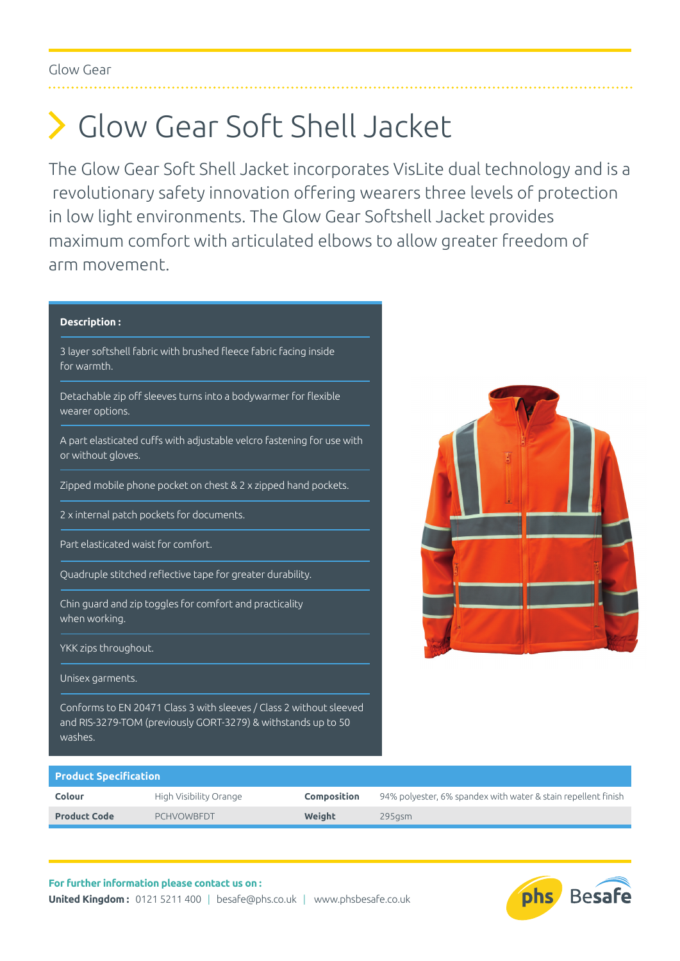## Glow Gear Soft Shell Jacket

The Glow Gear Soft Shell Jacket incorporates VisLite dual technology and is a revolutionary safety innovation offering wearers three levels of protection in low light environments. The Glow Gear Softshell Jacket provides maximum comfort with articulated elbows to allow greater freedom of arm movement.

## **Description :**

3 layer softshell fabric with brushed fleece fabric facing inside for warmth.

Detachable zip off sleeves turns into a bodywarmer for flexible wearer options.

A part elasticated cuffs with adjustable velcro fastening for use with or without gloves.

Zipped mobile phone pocket on chest & 2 x zipped hand pockets.

2 x internal patch pockets for documents.

Part elasticated waist for comfort.

Quadruple stitched reflective tape for greater durability.

Chin guard and zip toggles for comfort and practicality when working.

YKK zips throughout.

Unisex garments.

Conforms to EN 20471 Class 3 with sleeves / Class 2 without sleeved and RIS-3279-TOM (previously GORT-3279) & withstands up to 50 washes.



## **Product Specification**

| Colour              | High Visibility Orange | Composition | 94% polyester, 6% spandex with water & stain repellent finish |
|---------------------|------------------------|-------------|---------------------------------------------------------------|
| <b>Product Code</b> | <b>PCHVOWBEDT</b>      | Weight      | $295$ asm                                                     |